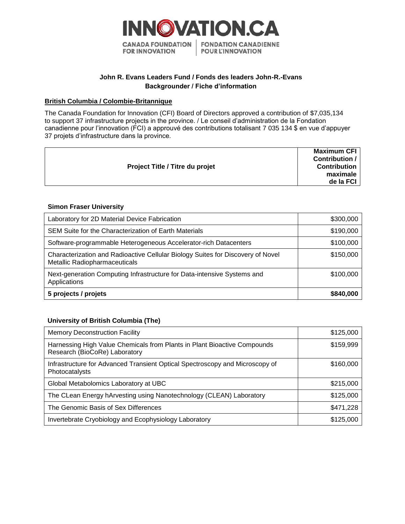

# **John R. Evans Leaders Fund / Fonds des leaders John-R.-Evans Backgrounder / Fiche d'information**

### **British Columbia / Colombie-Britannique**

The Canada Foundation for Innovation (CFI) Board of Directors approved a contribution of \$7,035,134 to support 37 infrastructure projects in the province. / Le conseil d'administration de la Fondation canadienne pour l'innovation (FCI) a approuvé des contributions totalisant 7 035 134 \$ en vue d'appuyer 37 projets d'infrastructure dans la province.

| <b>Project Title / Titre du projet</b> | <b>Maximum CFI</b><br>Contribution /<br><b>Contribution</b><br>maximale<br>de la FCI |
|----------------------------------------|--------------------------------------------------------------------------------------|
|                                        |                                                                                      |

## **Simon Fraser University**

| Laboratory for 2D Material Device Fabrication                                                                    | \$300,000 |
|------------------------------------------------------------------------------------------------------------------|-----------|
| SEM Suite for the Characterization of Earth Materials                                                            | \$190,000 |
| Software-programmable Heterogeneous Accelerator-rich Datacenters                                                 | \$100,000 |
| Characterization and Radioactive Cellular Biology Suites for Discovery of Novel<br>Metallic Radiopharmaceuticals | \$150,000 |
| Next-generation Computing Infrastructure for Data-intensive Systems and<br>Applications                          | \$100,000 |
| 5 projects / projets                                                                                             | \$840,000 |

## **University of British Columbia (The)**

| <b>Memory Deconstruction Facility</b>                                                                     | \$125,000 |
|-----------------------------------------------------------------------------------------------------------|-----------|
| Harnessing High Value Chemicals from Plants in Plant Bioactive Compounds<br>Research (BioCoRe) Laboratory | \$159,999 |
| Infrastructure for Advanced Transient Optical Spectroscopy and Microscopy of<br>Photocatalysts            | \$160,000 |
| Global Metabolomics Laboratory at UBC                                                                     | \$215,000 |
| The CLean Energy hArvesting using Nanotechnology (CLEAN) Laboratory                                       | \$125,000 |
| The Genomic Basis of Sex Differences                                                                      | \$471,228 |
| Invertebrate Cryobiology and Ecophysiology Laboratory                                                     | \$125,000 |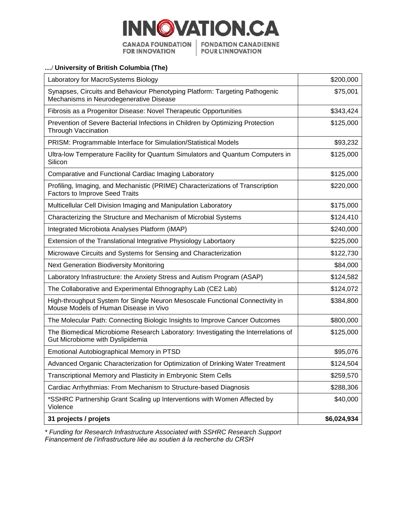

# **…/ University of British Columbia (The)**

| Laboratory for MacroSystems Biology                                                                                     | \$200,000   |
|-------------------------------------------------------------------------------------------------------------------------|-------------|
| Synapses, Circuits and Behaviour Phenotyping Platform: Targeting Pathogenic<br>Mechanisms in Neurodegenerative Disease  | \$75,001    |
| Fibrosis as a Progenitor Disease: Novel Therapeutic Opportunities                                                       | \$343,424   |
| Prevention of Severe Bacterial Infections in Children by Optimizing Protection<br><b>Through Vaccination</b>            | \$125,000   |
| PRISM: Programmable Interface for Simulation/Statistical Models                                                         | \$93,232    |
| Ultra-low Temperature Facility for Quantum Simulators and Quantum Computers in<br>Silicon                               | \$125,000   |
| Comparative and Functional Cardiac Imaging Laboratory                                                                   | \$125,000   |
| Profiling, Imaging, and Mechanistic (PRIME) Characterizations of Transcription<br><b>Factors to Improve Seed Traits</b> | \$220,000   |
| Multicellular Cell Division Imaging and Manipulation Laboratory                                                         | \$175,000   |
| Characterizing the Structure and Mechanism of Microbial Systems                                                         | \$124,410   |
| Integrated Microbiota Analyses Platform (iMAP)                                                                          | \$240,000   |
| Extension of the Translational Integrative Physiology Labortaory                                                        | \$225,000   |
| Microwave Circuits and Systems for Sensing and Characterization                                                         | \$122,730   |
| <b>Next Generation Biodiversity Monitoring</b>                                                                          | \$84,000    |
| Laboratory Infrastructure: the Anxiety Stress and Autism Program (ASAP)                                                 | \$124,582   |
| The Collaborative and Experimental Ethnography Lab (CE2 Lab)                                                            | \$124,072   |
| High-throughput System for Single Neuron Mesoscale Functional Connectivity in<br>Mouse Models of Human Disease in Vivo  | \$384,800   |
| The Molecular Path: Connecting Biologic Insights to Improve Cancer Outcomes                                             | \$800,000   |
| The Biomedical Microbiome Research Laboratory: Investigating the Interrelations of<br>Gut Microbiome with Dyslipidemia  | \$125,000   |
| <b>Emotional Autobiographical Memory in PTSD</b>                                                                        | \$95,076    |
| Advanced Organic Characterization for Optimization of Drinking Water Treatment                                          | \$124,504   |
| Transcriptional Memory and Plasticity in Embryonic Stem Cells                                                           | \$259,570   |
| Cardiac Arrhythmias: From Mechanism to Structure-based Diagnosis                                                        | \$288,306   |
| *SSHRC Partnership Grant Scaling up Interventions with Women Affected by<br>Violence                                    | \$40,000    |
| 31 projects / projets                                                                                                   | \$6,024,934 |

*\* Funding for Research Infrastructure Associated with SSHRC Research Support Financement de l'infrastructure liée au soutien à la recherche du CRSH*